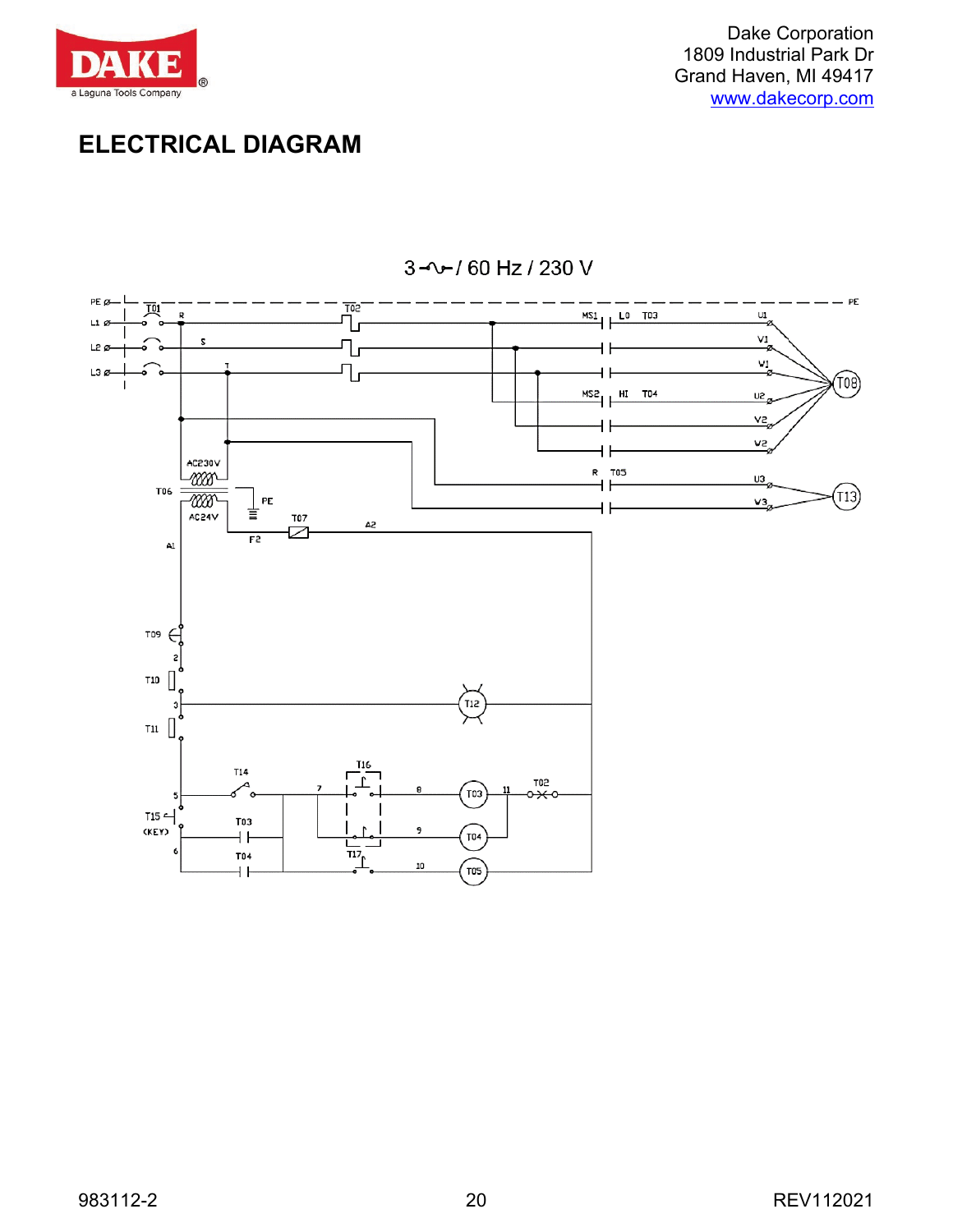

Dake Corporation 1809 Industrial Park Dr Grand Haven, MI 49417 [www.dakecorp.com](http://www.dakecorp.com/)

## **ELECTRICAL DIAGRAM**



3-0-160 Hz / 230 V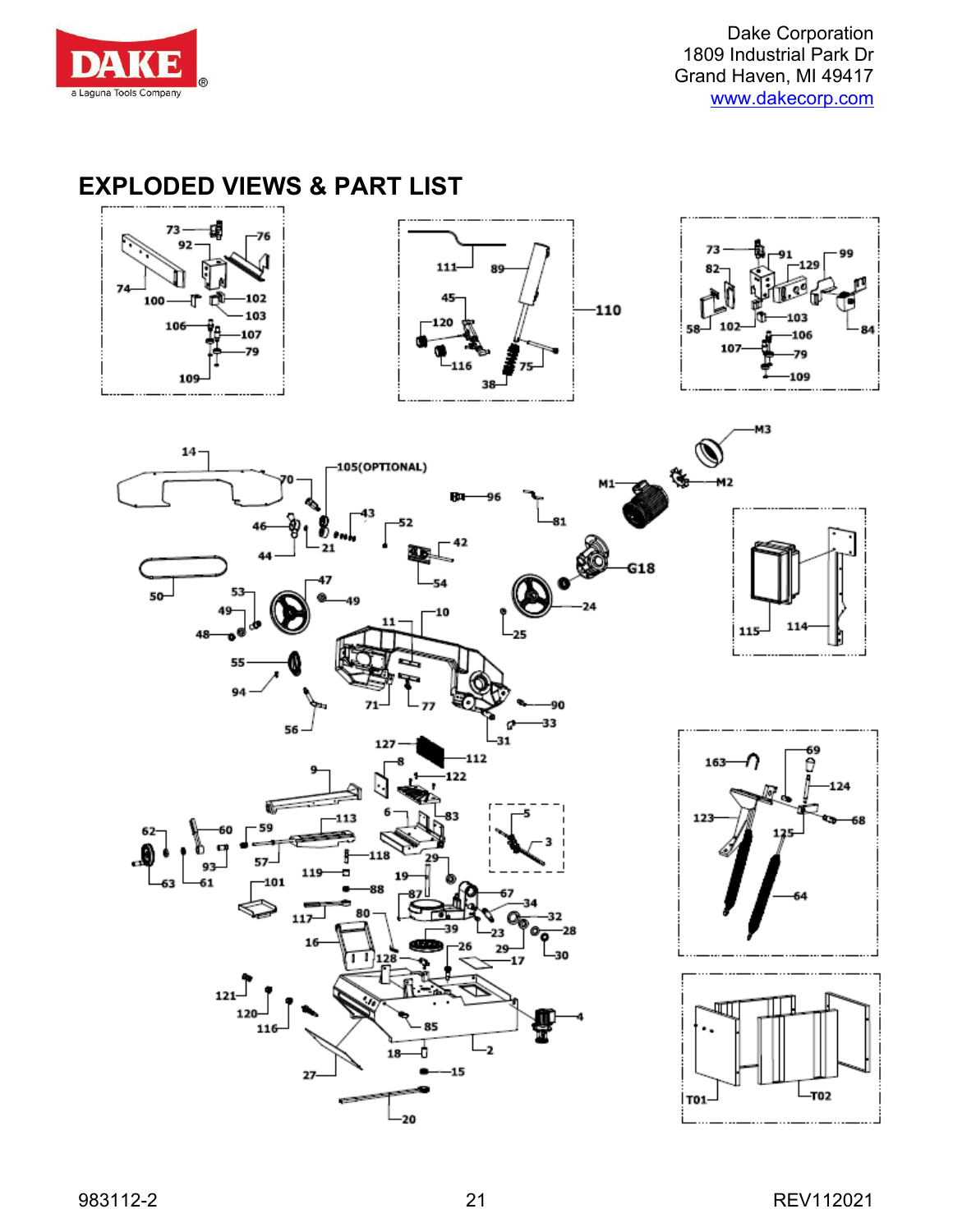

Dake Corporation 1809 Industrial Park Dr Grand Haven, MI 49417 [www.dakecorp.com](http://www.dakecorp.com/)

## **EXPLODED VIEWS & PART LIST**